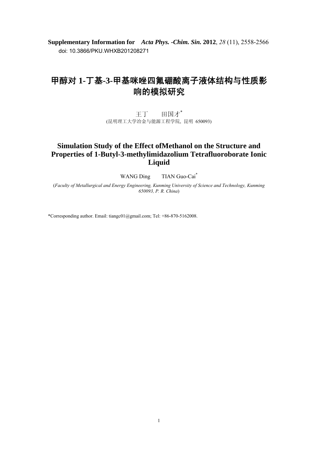**Supplementary Information for** *Acta Phys. -Chim. Sin.* **2012**, *28* (11), 2558-2566 doi: 10.3866/PKU.WHXB201208271

## 甲醇对 **1-**丁基**-3-**甲基咪唑四氟硼酸离子液体结构与性质影 响的模拟研究

王丁 田国才\* (昆明理工大学冶金与能源工程学院, 昆明 650093)

## **Simulation Study of the Effect ofMethanol on the Structure and Properties of 1-Butyl-3-methylimidazolium Tetrafluoroborate Ionic Liquid**

WANG Ding TIAN Guo-Cai<sup>\*</sup>

(*Faculty of Metallurgical and Energy Engineering, Kunming University of Science and Technology, Kunming 650093, P. R. China*)

\*Corresponding author. Email: tiangc01@gmail.com; Tel: +86-870-5162008.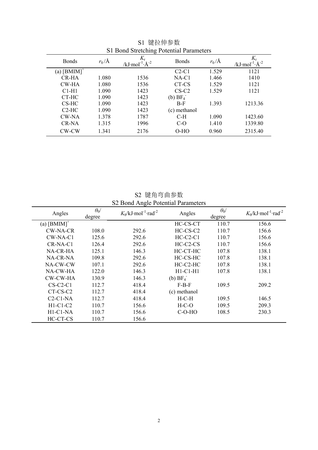| 51 Dong Sucreting I organized alameters |                  |                                                            |                     |                  |                                               |
|-----------------------------------------|------------------|------------------------------------------------------------|---------------------|------------------|-----------------------------------------------|
| <b>Bonds</b>                            | $r_0/\text{\AA}$ | $K_{\rm r}$<br>/kJ·mol <sup>-1</sup> · $\AA$ <sup>-2</sup> | <b>Bonds</b>        | $r_0/\text{\AA}$ | $K_{r}$<br>/kJ·mol <sup>-1</sup> · $\AA^{-2}$ |
| (a) $[BMIM]$ <sup>+</sup>               |                  |                                                            | $C2-C1$             | 1.529            | 1121                                          |
| <b>CR-HA</b>                            | 1.080            | 1536                                                       | $NA-C1$             | 1.466            | 1410                                          |
| CW-HA                                   | 1.080            | 1536                                                       | CT-CS               | 1.529            | 1121                                          |
| $C1-H1$                                 | 1.090            | 1423                                                       | $CS-C2$             | 1.529            | 1121                                          |
| CT-HC                                   | 1.090            | 1423                                                       | (b) BF <sub>4</sub> |                  |                                               |
| CS-HC                                   | 1.090            | 1423                                                       | $B-F$               | 1.393            | 1213.36                                       |
| $C2-HC$                                 | 1.090            | 1423                                                       | (c) methanol        |                  |                                               |
| CW-NA                                   | 1.378            | 1787                                                       | $C-H$               | 1.090            | 1423.60                                       |
| CR-NA                                   | 1.315            | 1996                                                       | $C-O$               | 1.410            | 1339.80                                       |
| CW-CW                                   | 1.341            | 2176                                                       | O-HO                | 0.960            | 2315.40                                       |

S1 键拉伸参数 S1 Bond Stretching Potential Parameters

S2 键角弯曲参数 S2 Bond Angle Potential Parameters

| Angles                    | $\theta_0$<br>degree | $K_{\theta}/kJ$ ·mol <sup>-1</sup> ·rad <sup>-2</sup> | Angles              | $\theta_0$<br>degree | $K_{\theta}/kJ$ ·mol <sup>-1</sup> ·rad <sup>-2</sup> |
|---------------------------|----------------------|-------------------------------------------------------|---------------------|----------------------|-------------------------------------------------------|
| (a) $[BMIM]$ <sup>+</sup> |                      |                                                       | HC-CS-CT            | 110.7                | 156.6                                                 |
| CW-NA-CR                  | 108.0                | 292.6                                                 | $HC-CS-C2$          | 110.7                | 156.6                                                 |
| CW-NA-C1                  | 125.6                | 292.6                                                 | $HC-C2-C1$          | 110.7                | 156.6                                                 |
| $CR-NA-Cl$                | 126.4                | 292.6                                                 | $HC-C2-CS$          | 110.7                | 156.6                                                 |
| NA-CR-HA                  | 125.1                | 146.3                                                 | HC-CT-HC            | 107.8                | 138.1                                                 |
| NA-CR-NA                  | 109.8                | 292.6                                                 | HC-CS-HC            | 107.8                | 138.1                                                 |
| NA-CW-CW                  | 107.1                | 292.6                                                 | $HC-C2-HC$          | 107.8                | 138.1                                                 |
| NA-CW-HA                  | 122.0                | 146.3                                                 | H1-C1-H1            | 107.8                | 138.1                                                 |
| CW-CW-HA                  | 130.9                | 146.3                                                 | (b) BF <sub>4</sub> |                      |                                                       |
| $CS-C2-C1$                | 112.7                | 418.4                                                 | $F-B-F$             | 109.5                | 209.2                                                 |
| $CT$ -CS-C2               | 112.7                | 418.4                                                 | (c) methanol        |                      |                                                       |
| $C2-C1-NA$                | 112.7                | 418.4                                                 | $H-C-H$             | 109.5                | 146.5                                                 |
| $H1-C1-C2$                | 110.7                | 156.6                                                 | $H-C-O$             | 109.5                | 209.3                                                 |
| $H1-C1-NA$                | 110.7                | 156.6                                                 | $C-O-HO$            | 108.5                | 230.3                                                 |
| HC-CT-CS                  | 110.7                | 156.6                                                 |                     |                      |                                                       |